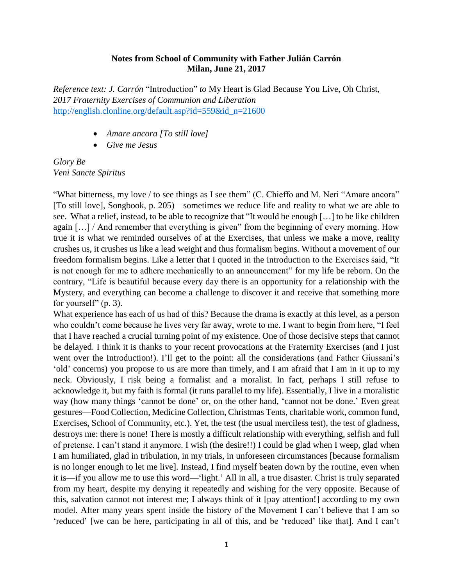## **Notes from School of Community with Father Julián Carrón Milan, June 21, 2017**

*Reference text: J. Carrón* "Introduction" *to* My Heart is Glad Because You Live, Oh Christ, *2017 Fraternity Exercises of Communion and Liberation* [http://english.clonline.org/default.asp?id=559&id\\_n=21600](http://english.clonline.org/default.asp?id=559&id_n=21600)

- *Amare ancora [To still love]*
- *Give me Jesus*

*Glory Be Veni Sancte Spiritus*

"What bitterness, my love / to see things as I see them" (C. Chieffo and M. Neri "Amare ancora" [To still love], Songbook, p. 205)—sometimes we reduce life and reality to what we are able to see. What a relief, instead, to be able to recognize that "It would be enough […] to be like children again [...] / And remember that everything is given" from the beginning of every morning. How true it is what we reminded ourselves of at the Exercises, that unless we make a move, reality crushes us, it crushes us like a lead weight and thus formalism begins. Without a movement of our freedom formalism begins. Like a letter that I quoted in the Introduction to the Exercises said, "It is not enough for me to adhere mechanically to an announcement" for my life be reborn. On the contrary, "Life is beautiful because every day there is an opportunity for a relationship with the Mystery, and everything can become a challenge to discover it and receive that something more for yourself"  $(p, 3)$ .

What experience has each of us had of this? Because the drama is exactly at this level, as a person who couldn't come because he lives very far away, wrote to me. I want to begin from here, "I feel that I have reached a crucial turning point of my existence. One of those decisive steps that cannot be delayed. I think it is thanks to your recent provocations at the Fraternity Exercises (and I just went over the Introduction!). I'll get to the point: all the considerations (and Father Giussani's 'old' concerns) you propose to us are more than timely, and I am afraid that I am in it up to my neck. Obviously, I risk being a formalist and a moralist. In fact, perhaps I still refuse to acknowledge it, but my faith is formal (it runs parallel to my life). Essentially, I live in a moralistic way (how many things 'cannot be done' or, on the other hand, 'cannot not be done.' Even great gestures—Food Collection, Medicine Collection, Christmas Tents, charitable work, common fund, Exercises, School of Community, etc.). Yet, the test (the usual merciless test), the test of gladness, destroys me: there is none! There is mostly a difficult relationship with everything, selfish and full of pretense. I can't stand it anymore. I wish (the desire!!) I could be glad when I weep, glad when I am humiliated, glad in tribulation, in my trials, in unforeseen circumstances [because formalism is no longer enough to let me live]. Instead, I find myself beaten down by the routine, even when it is—if you allow me to use this word—'light.' All in all, a true disaster. Christ is truly separated from my heart, despite my denying it repeatedly and wishing for the very opposite. Because of this, salvation cannot not interest me; I always think of it [pay attention!] according to my own model. After many years spent inside the history of the Movement I can't believe that I am so 'reduced' [we can be here, participating in all of this, and be 'reduced' like that]. And I can't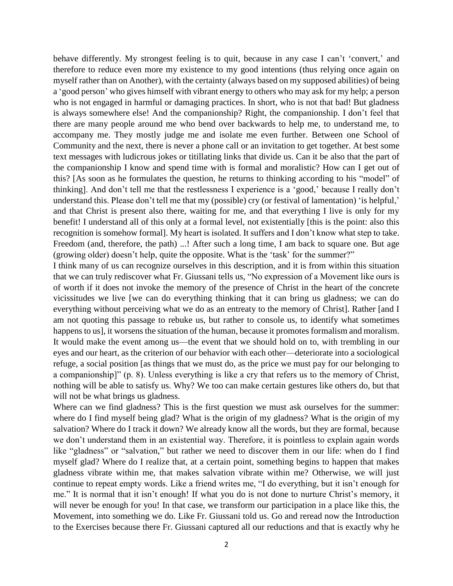behave differently. My strongest feeling is to quit, because in any case I can't 'convert,' and therefore to reduce even more my existence to my good intentions (thus relying once again on myself rather than on Another), with the certainty (always based on my supposed abilities) of being a 'good person' who gives himself with vibrant energy to others who may ask for my help; a person who is not engaged in harmful or damaging practices. In short, who is not that bad! But gladness is always somewhere else! And the companionship? Right, the companionship. I don't feel that there are many people around me who bend over backwards to help me, to understand me, to accompany me. They mostly judge me and isolate me even further. Between one School of Community and the next, there is never a phone call or an invitation to get together. At best some text messages with ludicrous jokes or titillating links that divide us. Can it be also that the part of the companionship I know and spend time with is formal and moralistic? How can I get out of this? [As soon as he formulates the question, he returns to thinking according to his "model" of thinking]. And don't tell me that the restlessness I experience is a 'good,' because I really don't understand this. Please don't tell me that my (possible) cry (or festival of lamentation) 'is helpful,' and that Christ is present also there, waiting for me, and that everything I live is only for my benefit! I understand all of this only at a formal level, not existentially [this is the point: also this recognition is somehow formal]. My heart is isolated. It suffers and I don't know what step to take. Freedom (and, therefore, the path) ...! After such a long time, I am back to square one. But age (growing older) doesn't help, quite the opposite. What is the 'task' for the summer?"

I think many of us can recognize ourselves in this description, and it is from within this situation that we can truly rediscover what Fr. Giussani tells us, "No expression of a Movement like ours is of worth if it does not invoke the memory of the presence of Christ in the heart of the concrete vicissitudes we live [we can do everything thinking that it can bring us gladness; we can do everything without perceiving what we do as an entreaty to the memory of Christ]. Rather [and I am not quoting this passage to rebuke us, but rather to console us, to identify what sometimes happens to us], it worsens the situation of the human, because it promotes formalism and moralism. It would make the event among us—the event that we should hold on to, with trembling in our eyes and our heart, as the criterion of our behavior with each other—deteriorate into a sociological refuge, a social position [as things that we must do, as the price we must pay for our belonging to a companionship]" (p. 8). Unless everything is like a cry that refers us to the memory of Christ, nothing will be able to satisfy us. Why? We too can make certain gestures like others do, but that will not be what brings us gladness.

Where can we find gladness? This is the first question we must ask ourselves for the summer: where do I find myself being glad? What is the origin of my gladness? What is the origin of my salvation? Where do I track it down? We already know all the words, but they are formal, because we don't understand them in an existential way. Therefore, it is pointless to explain again words like "gladness" or "salvation," but rather we need to discover them in our life: when do I find myself glad? Where do I realize that, at a certain point, something begins to happen that makes gladness vibrate within me, that makes salvation vibrate within me? Otherwise, we will just continue to repeat empty words. Like a friend writes me, "I do everything, but it isn't enough for me." It is normal that it isn't enough! If what you do is not done to nurture Christ's memory, it will never be enough for you! In that case, we transform our participation in a place like this, the Movement, into something we do. Like Fr. Giussani told us. Go and reread now the Introduction to the Exercises because there Fr. Giussani captured all our reductions and that is exactly why he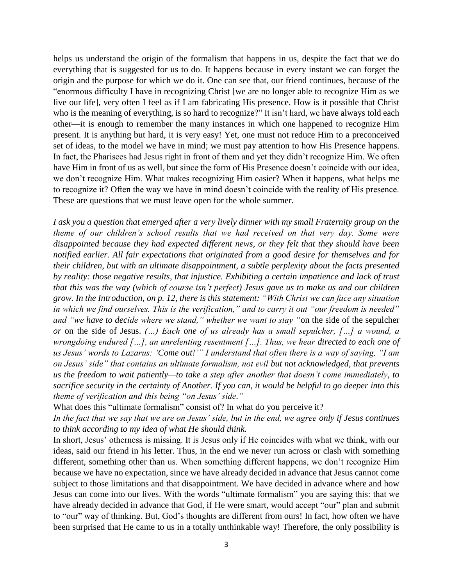helps us understand the origin of the formalism that happens in us, despite the fact that we do everything that is suggested for us to do. It happens because in every instant we can forget the origin and the purpose for which we do it. One can see that, our friend continues, because of the "enormous difficulty I have in recognizing Christ [we are no longer able to recognize Him as we live our life], very often I feel as if I am fabricating His presence. How is it possible that Christ who is the meaning of everything, is so hard to recognize?" It isn't hard, we have always told each other—it is enough to remember the many instances in which one happened to recognize Him present. It is anything but hard, it is very easy! Yet, one must not reduce Him to a preconceived set of ideas, to the model we have in mind; we must pay attention to how His Presence happens. In fact, the Pharisees had Jesus right in front of them and yet they didn't recognize Him. We often have Him in front of us as well, but since the form of His Presence doesn't coincide with our idea, we don't recognize Him. What makes recognizing Him easier? When it happens, what helps me to recognize it? Often the way we have in mind doesn't coincide with the reality of His presence. These are questions that we must leave open for the whole summer.

*I ask you a question that emerged after a very lively dinner with my small Fraternity group on the theme of our children's school results that we had received on that very day. Some were disappointed because they had expected different news, or they felt that they should have been notified earlier. All fair expectations that originated from a good desire for themselves and for their children, but with an ultimate disappointment, a subtle perplexity about the facts presented by reality: those negative results, that injustice. Exhibiting a certain impatience and lack of trust that this was the way (which of course isn't perfect) Jesus gave us to make us and our children grow. In the Introduction, on p. 12, there is this statement: "With Christ we can face any situation in which we find ourselves. This is the verification," and to carry it out "our freedom is needed" and "we have to decide where we stand," whether we want to stay "*on the side of the sepulcher *or* on the side of Jesus. *(…) Each one of us already has a small sepulcher, […] a wound, a wrongdoing endured […], an unrelenting resentment […]. Thus, we hear directed to each one of us Jesus' words to Lazarus: 'Come out!'" I understand that often there is a way of saying, "I am on Jesus' side" that contains an ultimate formalism, not evil but not acknowledged, that prevents us the freedom to wait patiently—to take a step after another that doesn't come immediately, to sacrifice security in the certainty of Another. If you can, it would be helpful to go deeper into this theme of verification and this being "on Jesus' side."*

What does this "ultimate formalism" consist of? In what do you perceive it?

*In the fact that we say that we are on Jesus' side, but in the end, we agree only if Jesus continues to think according to my idea of what He should think.*

In short, Jesus' otherness is missing. It is Jesus only if He coincides with what we think, with our ideas, said our friend in his letter. Thus, in the end we never run across or clash with something different, something other than us. When something different happens, we don't recognize Him because we have no expectation, since we have already decided in advance that Jesus cannot come subject to those limitations and that disappointment. We have decided in advance where and how Jesus can come into our lives. With the words "ultimate formalism" you are saying this: that we have already decided in advance that God, if He were smart, would accept "our" plan and submit to "our" way of thinking. But, God's thoughts are different from ours! In fact, how often we have been surprised that He came to us in a totally unthinkable way! Therefore, the only possibility is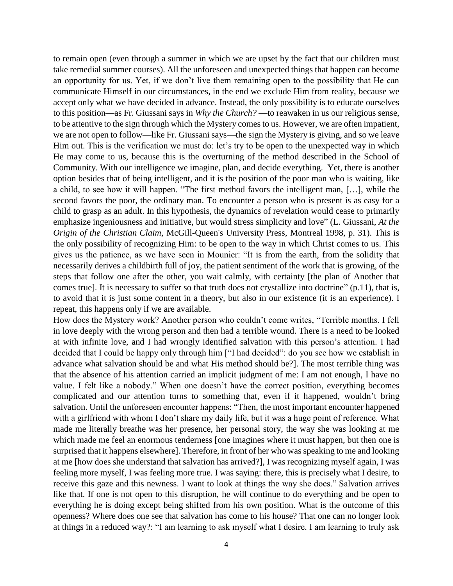to remain open (even through a summer in which we are upset by the fact that our children must take remedial summer courses). All the unforeseen and unexpected things that happen can become an opportunity for us. Yet, if we don't live them remaining open to the possibility that He can communicate Himself in our circumstances, in the end we exclude Him from reality, because we accept only what we have decided in advance. Instead, the only possibility is to educate ourselves to this position—as Fr. Giussani says in *Why the Church?* —to reawaken in us our religious sense, to be attentive to the sign through which the Mystery comes to us. However, we are often impatient, we are not open to follow—like Fr. Giussani says—the sign the Mystery is giving, and so we leave Him out. This is the verification we must do: let's try to be open to the unexpected way in which He may come to us, because this is the overturning of the method described in the School of Community. With our intelligence we imagine, plan, and decide everything. Yet, there is another option besides that of being intelligent, and it is the position of the poor man who is waiting, like a child, to see how it will happen. "The first method favors the intelligent man, […], while the second favors the poor, the ordinary man. To encounter a person who is present is as easy for a child to grasp as an adult. In this hypothesis, the dynamics of revelation would cease to primarily emphasize ingeniousness and initiative, but would stress simplicity and love" (L. Giussani, *At the Origin of the Christian Claim,* McGill-Queen's University Press, Montreal 1998, p. 31). This is the only possibility of recognizing Him: to be open to the way in which Christ comes to us. This gives us the patience, as we have seen in Mounier: "It is from the earth, from the solidity that necessarily derives a childbirth full of joy, the patient sentiment of the work that is growing, of the steps that follow one after the other, you wait calmly, with certainty [the plan of Another that comes true]. It is necessary to suffer so that truth does not crystallize into doctrine" (p.11), that is, to avoid that it is just some content in a theory, but also in our existence (it is an experience). I repeat, this happens only if we are available.

How does the Mystery work? Another person who couldn't come writes, "Terrible months. I fell in love deeply with the wrong person and then had a terrible wound. There is a need to be looked at with infinite love, and I had wrongly identified salvation with this person's attention. I had decided that I could be happy only through him ["I had decided": do you see how we establish in advance what salvation should be and what His method should be?]. The most terrible thing was that the absence of his attention carried an implicit judgment of me: I am not enough, I have no value. I felt like a nobody." When one doesn't have the correct position, everything becomes complicated and our attention turns to something that, even if it happened, wouldn't bring salvation. Until the unforeseen encounter happens: "Then, the most important encounter happened with a girlfriend with whom I don't share my daily life, but it was a huge point of reference. What made me literally breathe was her presence, her personal story, the way she was looking at me which made me feel an enormous tenderness [one imagines where it must happen, but then one is surprised that it happens elsewhere]. Therefore, in front of her who was speaking to me and looking at me [how does she understand that salvation has arrived?], I was recognizing myself again, I was feeling more myself, I was feeling more true. I was saying: there, this is precisely what I desire, to receive this gaze and this newness. I want to look at things the way she does." Salvation arrives like that. If one is not open to this disruption, he will continue to do everything and be open to everything he is doing except being shifted from his own position. What is the outcome of this openness? Where does one see that salvation has come to his house? That one can no longer look at things in a reduced way?: "I am learning to ask myself what I desire. I am learning to truly ask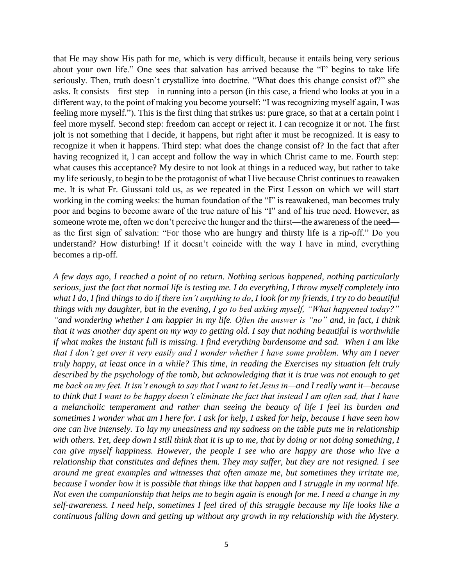that He may show His path for me, which is very difficult, because it entails being very serious about your own life." One sees that salvation has arrived because the "I" begins to take life seriously. Then, truth doesn't crystallize into doctrine. "What does this change consist of?" she asks. It consists—first step—in running into a person (in this case, a friend who looks at you in a different way, to the point of making you become yourself: "I was recognizing myself again, I was feeling more myself."). This is the first thing that strikes us: pure grace, so that at a certain point I feel more myself. Second step: freedom can accept or reject it. I can recognize it or not. The first jolt is not something that I decide, it happens, but right after it must be recognized. It is easy to recognize it when it happens. Third step: what does the change consist of? In the fact that after having recognized it, I can accept and follow the way in which Christ came to me. Fourth step: what causes this acceptance? My desire to not look at things in a reduced way, but rather to take my life seriously, to begin to be the protagonist of what I live because Christ continues to reawaken me. It is what Fr. Giussani told us, as we repeated in the First Lesson on which we will start working in the coming weeks: the human foundation of the "I" is reawakened, man becomes truly poor and begins to become aware of the true nature of his "I" and of his true need. However, as someone wrote me, often we don't perceive the hunger and the thirst—the awareness of the need as the first sign of salvation: "For those who are hungry and thirsty life is a rip-off." Do you understand? How disturbing! If it doesn't coincide with the way I have in mind, everything becomes a rip-off.

*A few days ago, I reached a point of no return. Nothing serious happened, nothing particularly serious, just the fact that normal life is testing me. I do everything, I throw myself completely into what I do, I find things to do if there isn't anything to do, I look for my friends, I try to do beautiful things with my daughter, but in the evening, I go to bed asking myself, "What happened today?" "and wondering whether I am happier in my life. Often the answer is "no" and, in fact, I think that it was another day spent on my way to getting old. I say that nothing beautiful is worthwhile if what makes the instant full is missing. I find everything burdensome and sad. When I am like that I don't get over it very easily and I wonder whether I have some problem. Why am I never truly happy, at least once in a while? This time, in reading the Exercises my situation felt truly described by the psychology of the tomb, but acknowledging that it is true was not enough to get me back on my feet. It isn't enough to say that I want to let Jesus in—and I really want it—because to think that I want to be happy doesn't eliminate the fact that instead I am often sad, that I have a melancholic temperament and rather than seeing the beauty of life I feel its burden and sometimes I wonder what am I here for. I ask for help, I asked for help, because I have seen how one can live intensely. To lay my uneasiness and my sadness on the table puts me in relationship with others. Yet, deep down I still think that it is up to me, that by doing or not doing something, I can give myself happiness. However, the people I see who are happy are those who live a relationship that constitutes and defines them. They may suffer, but they are not resigned. I see around me great examples and witnesses that often amaze me, but sometimes they irritate me, because I wonder how it is possible that things like that happen and I struggle in my normal life. Not even the companionship that helps me to begin again is enough for me. I need a change in my self-awareness. I need help, sometimes I feel tired of this struggle because my life looks like a continuous falling down and getting up without any growth in my relationship with the Mystery.*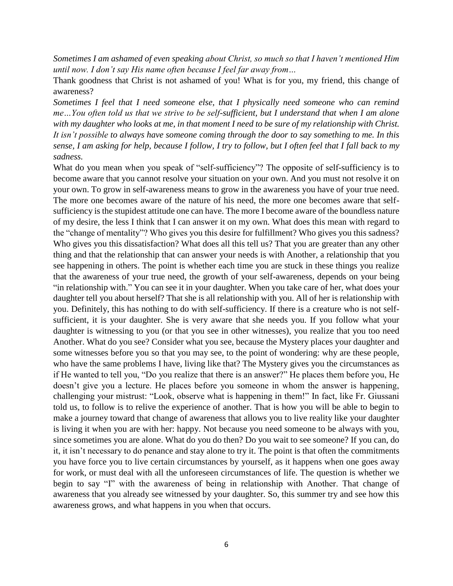*Sometimes I am ashamed of even speaking about Christ, so much so that I haven't mentioned Him until now. I don't say His name often because I feel far away from…*

Thank goodness that Christ is not ashamed of you! What is for you, my friend, this change of awareness?

*Sometimes I feel that I need someone else, that I physically need someone who can remind me…You often told us that we strive to be self-sufficient, but I understand that when I am alone with my daughter who looks at me, in that moment I need to be sure of my relationship with Christ. It isn't possible to always have someone coming through the door to say something to me. In this sense, I am asking for help, because I follow, I try to follow, but I often feel that I fall back to my sadness.*

What do you mean when you speak of "self-sufficiency"? The opposite of self-sufficiency is to become aware that you cannot resolve your situation on your own. And you must not resolve it on your own. To grow in self-awareness means to grow in the awareness you have of your true need. The more one becomes aware of the nature of his need, the more one becomes aware that selfsufficiency is the stupidest attitude one can have. The more I become aware of the boundless nature of my desire, the less I think that I can answer it on my own. What does this mean with regard to the "change of mentality"? Who gives you this desire for fulfillment? Who gives you this sadness? Who gives you this dissatisfaction? What does all this tell us? That you are greater than any other thing and that the relationship that can answer your needs is with Another, a relationship that you see happening in others. The point is whether each time you are stuck in these things you realize that the awareness of your true need, the growth of your self-awareness, depends on your being "in relationship with." You can see it in your daughter. When you take care of her, what does your daughter tell you about herself? That she is all relationship with you. All of her is relationship with you. Definitely, this has nothing to do with self-sufficiency. If there is a creature who is not selfsufficient, it is your daughter. She is very aware that she needs you. If you follow what your daughter is witnessing to you (or that you see in other witnesses), you realize that you too need Another. What do you see? Consider what you see, because the Mystery places your daughter and some witnesses before you so that you may see, to the point of wondering: why are these people, who have the same problems I have, living like that? The Mystery gives you the circumstances as if He wanted to tell you, "Do you realize that there is an answer?" He places them before you, He doesn't give you a lecture. He places before you someone in whom the answer is happening, challenging your mistrust: "Look, observe what is happening in them!" In fact, like Fr. Giussani told us, to follow is to relive the experience of another. That is how you will be able to begin to make a journey toward that change of awareness that allows you to live reality like your daughter is living it when you are with her: happy. Not because you need someone to be always with you, since sometimes you are alone. What do you do then? Do you wait to see someone? If you can, do it, it isn't necessary to do penance and stay alone to try it. The point is that often the commitments you have force you to live certain circumstances by yourself, as it happens when one goes away for work, or must deal with all the unforeseen circumstances of life. The question is whether we begin to say "I" with the awareness of being in relationship with Another. That change of awareness that you already see witnessed by your daughter. So, this summer try and see how this awareness grows, and what happens in you when that occurs.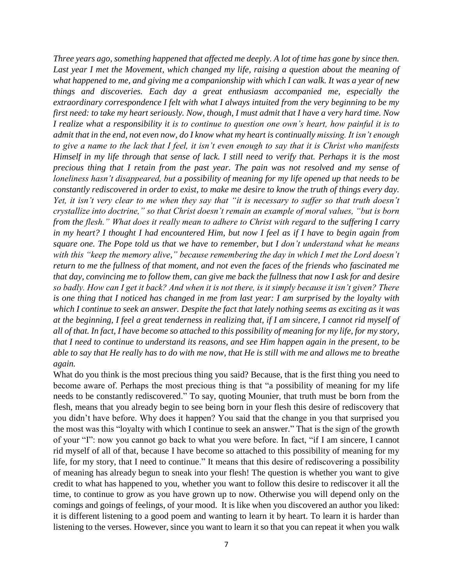*Three years ago, something happened that affected me deeply. A lot of time has gone by since then. Last year I met the Movement, which changed my life, raising a question about the meaning of what happened to me, and giving me a companionship with which I can walk. It was a year of new things and discoveries. Each day a great enthusiasm accompanied me, especially the extraordinary correspondence I felt with what I always intuited from the very beginning to be my first need: to take my heart seriously. Now, though, I must admit that I have a very hard time. Now I realize what a responsibility it is to continue to question one own's heart, how painful it is to admit that in the end, not even now, do I know what my heart is continually missing. It isn't enough to give a name to the lack that I feel, it isn't even enough to say that it is Christ who manifests Himself in my life through that sense of lack. I still need to verify that. Perhaps it is the most precious thing that I retain from the past year. The pain was not resolved and my sense of loneliness hasn't disappeared, but a possibility of meaning for my life opened up that needs to be constantly rediscovered in order to exist, to make me desire to know the truth of things every day. Yet, it isn't very clear to me when they say that "it is necessary to suffer so that truth doesn't crystallize into doctrine," so that Christ doesn't remain an example of moral values, "but is born from the flesh." What does it really mean to adhere to Christ with regard to the suffering I carry in my heart? I thought I had encountered Him, but now I feel as if I have to begin again from square one. The Pope told us that we have to remember, but I don't understand what he means with this "keep the memory alive," because remembering the day in which I met the Lord doesn't return to me the fullness of that moment, and not even the faces of the friends who fascinated me that day, convincing me to follow them, can give me back the fullness that now I ask for and desire so badly. How can I get it back? And when it is not there, is it simply because it isn't given? There is one thing that I noticed has changed in me from last year: I am surprised by the loyalty with which I continue to seek an answer. Despite the fact that lately nothing seems as exciting as it was at the beginning, I feel a great tenderness in realizing that, if I am sincere, I cannot rid myself of all of that. In fact, I have become so attached to this possibility of meaning for my life, for my story, that I need to continue to understand its reasons, and see Him happen again in the present, to be able to say that He really has to do with me now, that He is still with me and allows me to breathe again.* 

What do you think is the most precious thing you said? Because, that is the first thing you need to become aware of. Perhaps the most precious thing is that "a possibility of meaning for my life needs to be constantly rediscovered." To say, quoting Mounier, that truth must be born from the flesh, means that you already begin to see being born in your flesh this desire of rediscovery that you didn't have before. Why does it happen? You said that the change in you that surprised you the most was this "loyalty with which I continue to seek an answer." That is the sign of the growth of your "I": now you cannot go back to what you were before. In fact, "if I am sincere, I cannot rid myself of all of that, because I have become so attached to this possibility of meaning for my life, for my story, that I need to continue." It means that this desire of rediscovering a possibility of meaning has already begun to sneak into your flesh! The question is whether you want to give credit to what has happened to you, whether you want to follow this desire to rediscover it all the time, to continue to grow as you have grown up to now. Otherwise you will depend only on the comings and goings of feelings, of your mood. It is like when you discovered an author you liked: it is different listening to a good poem and wanting to learn it by heart. To learn it is harder than listening to the verses. However, since you want to learn it so that you can repeat it when you walk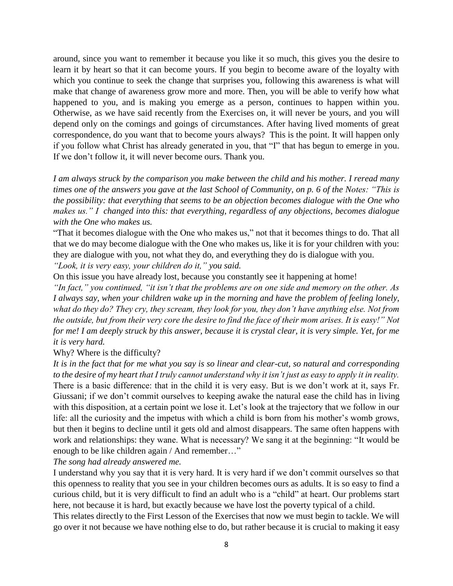around, since you want to remember it because you like it so much, this gives you the desire to learn it by heart so that it can become yours. If you begin to become aware of the loyalty with which you continue to seek the change that surprises you, following this awareness is what will make that change of awareness grow more and more. Then, you will be able to verify how what happened to you, and is making you emerge as a person, continues to happen within you. Otherwise, as we have said recently from the Exercises on, it will never be yours, and you will depend only on the comings and goings of circumstances. After having lived moments of great correspondence, do you want that to become yours always? This is the point. It will happen only if you follow what Christ has already generated in you, that "I" that has begun to emerge in you. If we don't follow it, it will never become ours. Thank you.

*I am always struck by the comparison you make between the child and his mother. I reread many times one of the answers you gave at the last School of Community, on p. 6 of the Notes: "This is the possibility: that everything that seems to be an objection becomes dialogue with the One who makes us." I changed into this: that everything, regardless of any objections, becomes dialogue with the One who makes us.*

"That it becomes dialogue with the One who makes us," not that it becomes things to do. That all that we do may become dialogue with the One who makes us, like it is for your children with you: they are dialogue with you, not what they do, and everything they do is dialogue with you. *"Look, it is very easy, your children do it," you said.*

On this issue you have already lost, because you constantly see it happening at home!

*"In fact," you continued, "it isn't that the problems are on one side and memory on the other. As I always say, when your children wake up in the morning and have the problem of feeling lonely, what do they do? They cry, they scream, they look for you, they don't have anything else. Not from the outside, but from their very core the desire to find the face of their mom arises. It is easy!" Not for me! I am deeply struck by this answer, because it is crystal clear, it is very simple. Yet, for me it is very hard.*

## Why? Where is the difficulty?

*It is in the fact that for me what you say is so linear and clear-cut, so natural and corresponding to the desire of my heart that I truly cannot understand why it isn't just as easy to apply it in reality.* There is a basic difference: that in the child it is very easy. But is we don't work at it, says Fr. Giussani; if we don't commit ourselves to keeping awake the natural ease the child has in living with this disposition, at a certain point we lose it. Let's look at the trajectory that we follow in our life: all the curiosity and the impetus with which a child is born from his mother's womb grows, but then it begins to decline until it gets old and almost disappears. The same often happens with work and relationships: they wane. What is necessary? We sang it at the beginning: "It would be enough to be like children again / And remember…"

*The song had already answered me.*

I understand why you say that it is very hard. It is very hard if we don't commit ourselves so that this openness to reality that you see in your children becomes ours as adults. It is so easy to find a curious child, but it is very difficult to find an adult who is a "child" at heart. Our problems start here, not because it is hard, but exactly because we have lost the poverty typical of a child.

This relates directly to the First Lesson of the Exercises that now we must begin to tackle. We will go over it not because we have nothing else to do, but rather because it is crucial to making it easy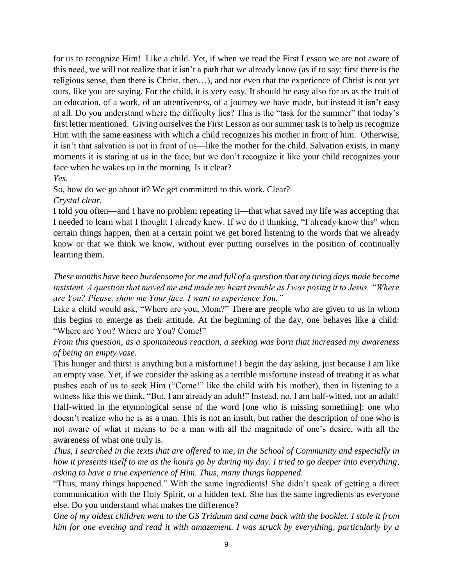for us to recognize Him! Like a child. Yet, if when we read the First Lesson we are not aware of this need, we will not realize that it isn't a path that we already know (as if to say: first there is the religious sense, then there is Christ, then…), and not even that the experience of Christ is not yet ours, like you are saying. For the child, it is very easy. It should be easy also for us as the fruit of an education, of a work, of an attentiveness, of a journey we have made, but instead it isn't easy at all. Do you understand where the difficulty lies? This is the "task for the summer" that today's first letter mentioned. Giving ourselves the First Lesson as our summer task is to help us recognize Him with the same easiness with which a child recognizes his mother in front of him. Otherwise, it isn't that salvation is not in front of us—like the mother for the child. Salvation exists, in many moments it is staring at us in the face, but we don't recognize it like your child recognizes your face when he wakes up in the morning. Is it clear?

## *Yes.*

So, how do we go about it? We get committed to this work. Clear?

*Crystal clear.*

I told you often—and I have no problem repeating it—that what saved my life was accepting that I needed to learn what I thought I already knew. If we do it thinking, "I already know this" when certain things happen, then at a certain point we get bored listening to the words that we already know or that we think we know, without ever putting ourselves in the position of continually learning them.

*These months have been burdensome for me and full of a question that my tiring days made become insistent. A question that moved me and made my heart tremble as I was posing it to Jesus, "Where are You? Please, show me Your face. I want to experience You."*

Like a child would ask, "Where are you, Mom?" There are people who are given to us in whom this begins to emerge as their attitude. At the beginning of the day, one behaves like a child: "Where are You? Where are You? Come!"

*From this question, as a spontaneous reaction, a seeking was born that increased my awareness of being an empty vase.*

This hunger and thirst is anything but a misfortune! I begin the day asking, just because I am like an empty vase. Yet, if we consider the asking as a terrible misfortune instead of treating it as what pushes each of us to seek Him ("Come!" like the child with his mother), then in listening to a witness like this we think, "But, I am already an adult!" Instead, no, I am half-witted, not an adult! Half-witted in the etymological sense of the word [one who is missing something]: one who doesn't realize who he is as a man. This is not an insult, but rather the description of one who is not aware of what it means to be a man with all the magnitude of one's desire, with all the awareness of what one truly is.

*Thus, I searched in the texts that are offered to me, in the School of Community and especially in how it presents itself to me as the hours go by during my day. I tried to go deeper into everything, asking to have a true experience of Him. Thus, many things happened.*

"Thus, many things happened." With the same ingredients! She didn't speak of getting a direct communication with the Holy Spirit, or a hidden text. She has the same ingredients as everyone else. Do you understand what makes the difference?

*One of my oldest children went to the GS Triduum and came back with the booklet. I stole it from him for one evening and read it with amazement. I was struck by everything, particularly by a*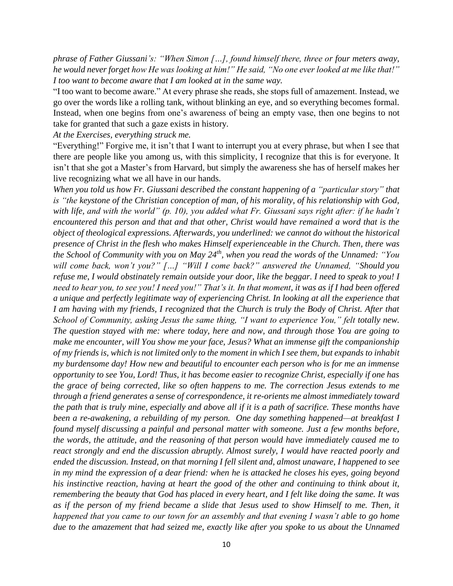*phrase of Father Giussani's: "When Simon […], found himself there, three or four meters away, he would never forget how He was looking at him!" He said, "No one ever looked at me like that!" I too want to become aware that I am looked at in the same way.*

"I too want to become aware." At every phrase she reads, she stops full of amazement. Instead, we go over the words like a rolling tank, without blinking an eye, and so everything becomes formal. Instead, when one begins from one's awareness of being an empty vase, then one begins to not take for granted that such a gaze exists in history.

## *At the Exercises, everything struck me.*

"Everything!" Forgive me, it isn't that I want to interrupt you at every phrase, but when I see that there are people like you among us, with this simplicity, I recognize that this is for everyone. It isn't that she got a Master's from Harvard, but simply the awareness she has of herself makes her live recognizing what we all have in our hands.

*When you told us how Fr. Giussani described the constant happening of a "particular story" that is "the keystone of the Christian conception of man, of his morality, of his relationship with God, with life, and with the world" (p. 10), you added what Fr. Giussani says right after: if he hadn't encountered this person and that and that other, Christ would have remained a word that is the object of theological expressions. Afterwards, you underlined: we cannot do without the historical presence of Christ in the flesh who makes Himself experienceable in the Church. Then, there was the School of Community with you on May 24th, when you read the words of the Unnamed: "You will come back, won't you?" […] "Will I come back?" answered the Unnamed, "Should you refuse me*, *I would obstinately remain outside your door*, *like the beggar. I need to speak to you! I need to hear you, to see you! I need you!" That's it. In that moment, it was as if I had been offered a unique and perfectly legitimate way of experiencing Christ. In looking at all the experience that I am having with my friends, I recognized that the Church is truly the Body of Christ. After that School of Community, asking Jesus the same thing, "I want to experience You," felt totally new. The question stayed with me: where today, here and now, and through those You are going to make me encounter, will You show me your face, Jesus? What an immense gift the companionship of my friends is, which is not limited only to the moment in which I see them, but expands to inhabit my burdensome day! How new and beautiful to encounter each person who is for me an immense opportunity to see You, Lord! Thus, it has become easier to recognize Christ, especially if one has the grace of being corrected, like so often happens to me. The correction Jesus extends to me through a friend generates a sense of correspondence, it re-orients me almost immediately toward the path that is truly mine, especially and above all if it is a path of sacrifice. These months have been a re-awakening, a rebuilding of my person. One day something happened—at breakfast I found myself discussing a painful and personal matter with someone. Just a few months before, the words, the attitude, and the reasoning of that person would have immediately caused me to react strongly and end the discussion abruptly. Almost surely, I would have reacted poorly and ended the discussion. Instead, on that morning I fell silent and, almost unaware, I happened to see in my mind the expression of a dear friend: when he is attacked he closes his eyes, going beyond his instinctive reaction, having at heart the good of the other and continuing to think about it, remembering the beauty that God has placed in every heart, and I felt like doing the same. It was as if the person of my friend became a slide that Jesus used to show Himself to me. Then, it happened that you came to our town for an assembly and that evening I wasn't able to go home due to the amazement that had seized me, exactly like after you spoke to us about the Unnamed*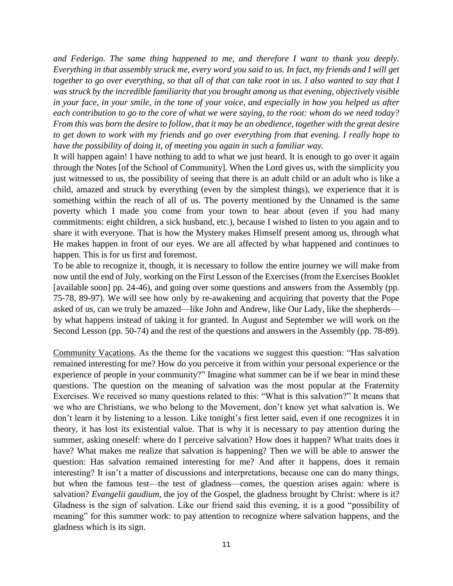*and Federigo. The same thing happened to me, and therefore I want to thank you deeply. Everything in that assembly struck me, every word you said to us. In fact, my friends and I will get together to go over everything, so that all of that can take root in us. I also wanted to say that I was struck by the incredible familiarity that you brought among us that evening, objectively visible in your face, in your smile, in the tone of your voice, and especially in how you helped us after each contribution to go to the core of what we were saying, to the root: whom do we need today? From this was born the desire to follow, that it may be an obedience, together with the great desire to get down to work with my friends and go over everything from that evening. I really hope to have the possibility of doing it, of meeting you again in such a familiar way.*

It will happen again! I have nothing to add to what we just heard. It is enough to go over it again through the Notes [of the School of Community]. When the Lord gives us, with the simplicity you just witnessed to us, the possibility of seeing that there is an adult child or an adult who is like a child, amazed and struck by everything (even by the simplest things), we experience that it is something within the reach of all of us. The poverty mentioned by the Unnamed is the same poverty which I made you come from your town to hear about (even if you had many commitments: eight children, a sick husband, etc.), because I wished to listen to you again and to share it with everyone. That is how the Mystery makes Himself present among us, through what He makes happen in front of our eyes. We are all affected by what happened and continues to happen. This is for us first and foremost.

To be able to recognize it, though, it is necessary to follow the entire journey we will make from now until the end of July, working on the First Lesson of the Exercises (from the Exercises Booklet [available soon] pp. 24-46), and going over some questions and answers from the Assembly (pp. 75-78, 89-97). We will see how only by re-awakening and acquiring that poverty that the Pope asked of us, can we truly be amazed—like John and Andrew, like Our Lady, like the shepherds by what happens instead of taking it for granted. In August and September we will work on the Second Lesson (pp. 50-74) and the rest of the questions and answers in the Assembly (pp. 78-89).

Community Vacations. As the theme for the vacations we suggest this question: "Has salvation remained interesting for me? How do you perceive it from within your personal experience or the experience of people in your community?" Imagine what summer can be if we bear in mind these questions. The question on the meaning of salvation was the most popular at the Fraternity Exercises. We received so many questions related to this: "What is this salvation?" It means that we who are Christians, we who belong to the Movement, don't know yet what salvation is. We don't learn it by listening to a lesson. Like tonight's first letter said, even if one recognizes it in theory, it has lost its existential value. That is why it is necessary to pay attention during the summer, asking oneself: where do I perceive salvation? How does it happen? What traits does it have? What makes me realize that salvation is happening? Then we will be able to answer the question: Has salvation remained interesting for me? And after it happens, does it remain interesting? It isn't a matter of discussions and interpretations, because one can do many things, but when the famous test—the test of gladness—comes, the question arises again: where is salvation? *Evangelii gaudium*, the joy of the Gospel, the gladness brought by Christ: where is it? Gladness is the sign of salvation. Like our friend said this evening, it is a good "possibility of meaning" for this summer work: to pay attention to recognize where salvation happens, and the gladness which is its sign.